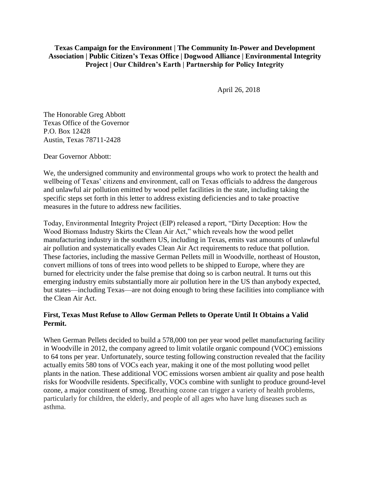**Texas Campaign for the Environment | The Community In-Power and Development Association | Public Citizen's Texas Office | Dogwood Alliance | Environmental Integrity Project | Our Children's Earth | Partnership for Policy Integrity**

April 26, 2018

The Honorable Greg Abbott Texas Office of the Governor P.O. Box 12428 Austin, Texas 78711-2428

Dear Governor Abbott:

We, the undersigned community and environmental groups who work to protect the health and wellbeing of Texas' citizens and environment, call on Texas officials to address the dangerous and unlawful air pollution emitted by wood pellet facilities in the state, including taking the specific steps set forth in this letter to address existing deficiencies and to take proactive measures in the future to address new facilities.

Today, Environmental Integrity Project (EIP) released a report, "Dirty Deception: How the Wood Biomass Industry Skirts the Clean Air Act," which reveals how the wood pellet manufacturing industry in the southern US, including in Texas, emits vast amounts of unlawful air pollution and systematically evades Clean Air Act requirements to reduce that pollution. These factories, including the massive German Pellets mill in Woodville, northeast of Houston, convert millions of tons of trees into wood pellets to be shipped to Europe, where they are burned for electricity under the false premise that doing so is carbon neutral. It turns out this emerging industry emits substantially more air pollution here in the US than anybody expected, but states—including Texas—are not doing enough to bring these facilities into compliance with the Clean Air Act.

## **First, Texas Must Refuse to Allow German Pellets to Operate Until It Obtains a Valid Permit.**

When German Pellets decided to build a 578,000 ton per year wood pellet manufacturing facility in Woodville in 2012, the company agreed to limit volatile organic compound (VOC) emissions to 64 tons per year. Unfortunately, source testing following construction revealed that the facility actually emits 580 tons of VOCs each year, making it one of the most polluting wood pellet plants in the nation. These additional VOC emissions worsen ambient air quality and pose health risks for Woodville residents. Specifically, VOCs combine with sunlight to produce ground-level ozone, a major constituent of smog. Breathing ozone can trigger a variety of health problems, particularly for children, the elderly, and people of all ages who have lung diseases such as asthma.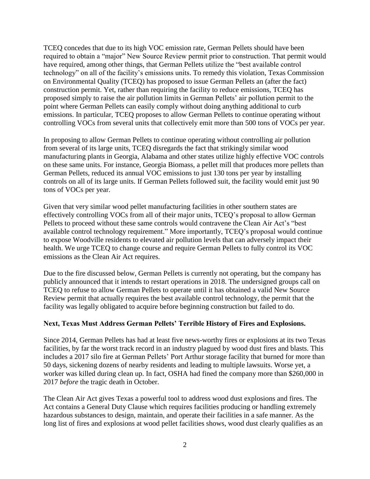TCEQ concedes that due to its high VOC emission rate, German Pellets should have been required to obtain a "major" New Source Review permit prior to construction. That permit would have required, among other things, that German Pellets utilize the "best available control technology" on all of the facility's emissions units. To remedy this violation, Texas Commission on Environmental Quality (TCEQ) has proposed to issue German Pellets an (after the fact) construction permit. Yet, rather than requiring the facility to reduce emissions, TCEQ has proposed simply to raise the air pollution limits in German Pellets' air pollution permit to the point where German Pellets can easily comply without doing anything additional to curb emissions. In particular, TCEQ proposes to allow German Pellets to continue operating without controlling VOCs from several units that collectively emit more than 500 tons of VOCs per year.

In proposing to allow German Pellets to continue operating without controlling air pollution from several of its large units, TCEQ disregards the fact that strikingly similar wood manufacturing plants in Georgia, Alabama and other states utilize highly effective VOC controls on these same units. For instance, Georgia Biomass, a pellet mill that produces more pellets than German Pellets, reduced its annual VOC emissions to just 130 tons per year by installing controls on all of its large units. If German Pellets followed suit, the facility would emit just 90 tons of VOCs per year.

Given that very similar wood pellet manufacturing facilities in other southern states are effectively controlling VOCs from all of their major units, TCEQ's proposal to allow German Pellets to proceed without these same controls would contravene the Clean Air Act's "best available control technology requirement." More importantly, TCEQ's proposal would continue to expose Woodville residents to elevated air pollution levels that can adversely impact their health. We urge TCEQ to change course and require German Pellets to fully control its VOC emissions as the Clean Air Act requires.

Due to the fire discussed below, German Pellets is currently not operating, but the company has publicly announced that it intends to restart operations in 2018. The undersigned groups call on TCEQ to refuse to allow German Pellets to operate until it has obtained a valid New Source Review permit that actually requires the best available control technology, the permit that the facility was legally obligated to acquire before beginning construction but failed to do.

## **Next, Texas Must Address German Pellets' Terrible History of Fires and Explosions.**

Since 2014, German Pellets has had at least five news-worthy fires or explosions at its two Texas facilities, by far the worst track record in an industry plagued by wood dust fires and blasts. This includes a 2017 silo fire at German Pellets' Port Arthur storage facility that burned for more than 50 days, sickening dozens of nearby residents and leading to multiple lawsuits. Worse yet, a worker was killed during clean up. In fact, OSHA had fined the company more than \$260,000 in 2017 *before* the tragic death in October.

The Clean Air Act gives Texas a powerful tool to address wood dust explosions and fires. The Act contains a General Duty Clause which requires facilities producing or handling extremely hazardous substances to design, maintain, and operate their facilities in a safe manner. As the long list of fires and explosions at wood pellet facilities shows, wood dust clearly qualifies as an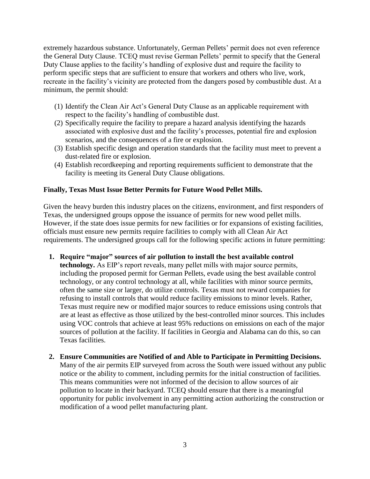extremely hazardous substance. Unfortunately, German Pellets' permit does not even reference the General Duty Clause. TCEQ must revise German Pellets' permit to specify that the General Duty Clause applies to the facility's handling of explosive dust and require the facility to perform specific steps that are sufficient to ensure that workers and others who live, work, recreate in the facility's vicinity are protected from the dangers posed by combustible dust. At a minimum, the permit should:

- (1) Identify the Clean Air Act's General Duty Clause as an applicable requirement with respect to the facility's handling of combustible dust.
- (2) Specifically require the facility to prepare a hazard analysis identifying the hazards associated with explosive dust and the facility's processes, potential fire and explosion scenarios, and the consequences of a fire or explosion.
- (3) Establish specific design and operation standards that the facility must meet to prevent a dust-related fire or explosion.
- (4) Establish recordkeeping and reporting requirements sufficient to demonstrate that the facility is meeting its General Duty Clause obligations.

## **Finally, Texas Must Issue Better Permits for Future Wood Pellet Mills.**

Given the heavy burden this industry places on the citizens, environment, and first responders of Texas, the undersigned groups oppose the issuance of permits for new wood pellet mills. However, if the state does issue permits for new facilities or for expansions of existing facilities, officials must ensure new permits require facilities to comply with all Clean Air Act requirements. The undersigned groups call for the following specific actions in future permitting:

- **1. Require "major" sources of air pollution to install the best available control technology.** As EIP's report reveals, many pellet mills with major source permits, including the proposed permit for German Pellets, evade using the best available control technology, or any control technology at all, while facilities with minor source permits, often the same size or larger, do utilize controls. Texas must not reward companies for refusing to install controls that would reduce facility emissions to minor levels. Rather, Texas must require new or modified major sources to reduce emissions using controls that are at least as effective as those utilized by the best-controlled minor sources. This includes using VOC controls that achieve at least 95% reductions on emissions on each of the major sources of pollution at the facility. If facilities in Georgia and Alabama can do this, so can Texas facilities.
- **2. Ensure Communities are Notified of and Able to Participate in Permitting Decisions.**  Many of the air permits EIP surveyed from across the South were issued without any public notice or the ability to comment, including permits for the initial construction of facilities. This means communities were not informed of the decision to allow sources of air pollution to locate in their backyard. TCEQ should ensure that there is a meaningful opportunity for public involvement in any permitting action authorizing the construction or modification of a wood pellet manufacturing plant.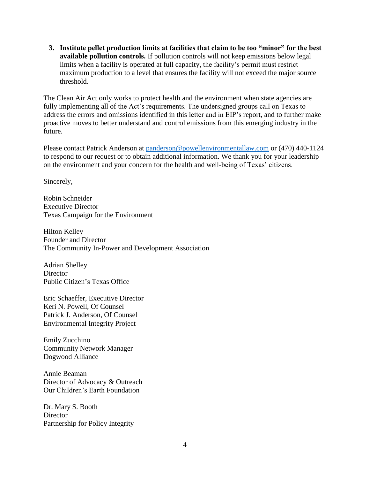**3. Institute pellet production limits at facilities that claim to be too "minor" for the best available pollution controls.** If pollution controls will not keep emissions below legal limits when a facility is operated at full capacity, the facility's permit must restrict maximum production to a level that ensures the facility will not exceed the major source threshold.

The Clean Air Act only works to protect health and the environment when state agencies are fully implementing all of the Act's requirements. The undersigned groups call on Texas to address the errors and omissions identified in this letter and in EIP's report, and to further make proactive moves to better understand and control emissions from this emerging industry in the future.

Please contact Patrick Anderson at [panderson@powellenvironmentallaw.com](mailto:panderson@powellenvironmentallaw.com) or (470) 440-1124 to respond to our request or to obtain additional information. We thank you for your leadership on the environment and your concern for the health and well-being of Texas' citizens.

Sincerely,

Robin Schneider Executive Director Texas Campaign for the Environment

Hilton Kelley Founder and Director The Community In-Power and Development Association

Adrian Shelley **Director** Public Citizen's Texas Office

Eric Schaeffer, Executive Director Keri N. Powell, Of Counsel Patrick J. Anderson, Of Counsel Environmental Integrity Project

Emily Zucchino Community Network Manager Dogwood Alliance

Annie Beaman Director of Advocacy & Outreach Our Children's Earth Foundation

Dr. Mary S. Booth **Director** Partnership for Policy Integrity